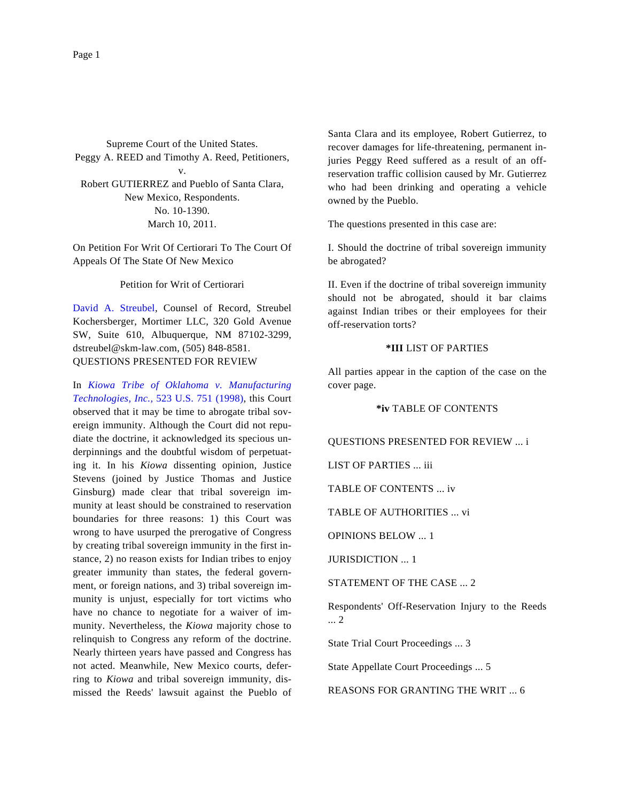Supreme Court of the United States. Peggy A. REED and Timothy A. Reed, Petitioners, v. Robert GUTIERREZ and Pueblo of Santa Clara, New Mexico, Respondents. No. 10-1390. March 10, 2011.

On Petition For Writ Of Certiorari To The Court Of Appeals Of The State Of New Mexico

Petition for Writ of Certiorari

[David A. Streub](http://www.westlaw.com/Find/Default.wl?rs=dfa1.0&vr=2.0&DB=PROFILER-WLD&DocName=0100056101&FindType=h)el, Counsel of Record, Streubel Kochersberger, Mortimer LLC, 320 Gold Avenue SW, Suite 610, Albuquerque, NM 87102-3299, dstreubel@skm-law.com, (505) 848-8581. QUESTIONS PRESENTED FOR REVIEW

In *[Kiowa Tribe of Oklahoma v. Manufactu](http://www.westlaw.com/Find/Default.wl?rs=dfa1.0&vr=2.0&DB=780&FindType=Y&SerialNum=1998112940)ring [Technologies, Inc.](http://www.westlaw.com/Find/Default.wl?rs=dfa1.0&vr=2.0&DB=780&FindType=Y&SerialNum=1998112940),* [523 U.S. 751 \(1998](http://www.westlaw.com/Find/Default.wl?rs=dfa1.0&vr=2.0&DB=780&FindType=Y&SerialNum=1998112940)), this Court observed that it may be time to abrogate tribal sovereign immunity. Although the Court did not repudiate the doctrine, it acknowledged its specious underpinnings and the doubtful wisdom of perpetuating it. In his *Kiowa* dissenting opinion, Justice Stevens (joined by Justice Thomas and Justice Ginsburg) made clear that tribal sovereign immunity at least should be constrained to reservation boundaries for three reasons: 1) this Court was wrong to have usurped the prerogative of Congress by creating tribal sovereign immunity in the first instance, 2) no reason exists for Indian tribes to enjoy greater immunity than states, the federal government, or foreign nations, and 3) tribal sovereign immunity is unjust, especially for tort victims who have no chance to negotiate for a waiver of immunity. Nevertheless, the *Kiowa* majority chose to relinquish to Congress any reform of the doctrine. Nearly thirteen years have passed and Congress has not acted. Meanwhile, New Mexico courts, deferring to *Kiowa* and tribal sovereign immunity, dismissed the Reeds' lawsuit against the Pueblo of

Santa Clara and its employee, Robert Gutierrez, to recover damages for life-threatening, permanent injuries Peggy Reed suffered as a result of an offreservation traffic collision caused by Mr. Gutierrez who had been drinking and operating a vehicle owned by the Pueblo.

The questions presented in this case are:

I. Should the doctrine of tribal sovereign immunity be abrogated?

II. Even if the doctrine of tribal sovereign immunity should not be abrogated, should it bar claims against Indian tribes or their employees for their off-reservation torts?

#### **\*III** LIST OF PARTIES

All parties appear in the caption of the case on the cover page.

## **\*iv** TABLE OF CONTENTS

QUESTIONS PRESENTED FOR REVIEW ... i

LIST OF PARTIES ... iii

TABLE OF CONTENTS ... iv

TABLE OF AUTHORITIES ... vi

OPINIONS BELOW ... 1

JURISDICTION ... 1

STATEMENT OF THE CASE ... 2

Respondents' Off-Reservation Injury to the Reeds ... 2

State Trial Court Proceedings ... 3

State Appellate Court Proceedings ... 5

REASONS FOR GRANTING THE WRIT ... 6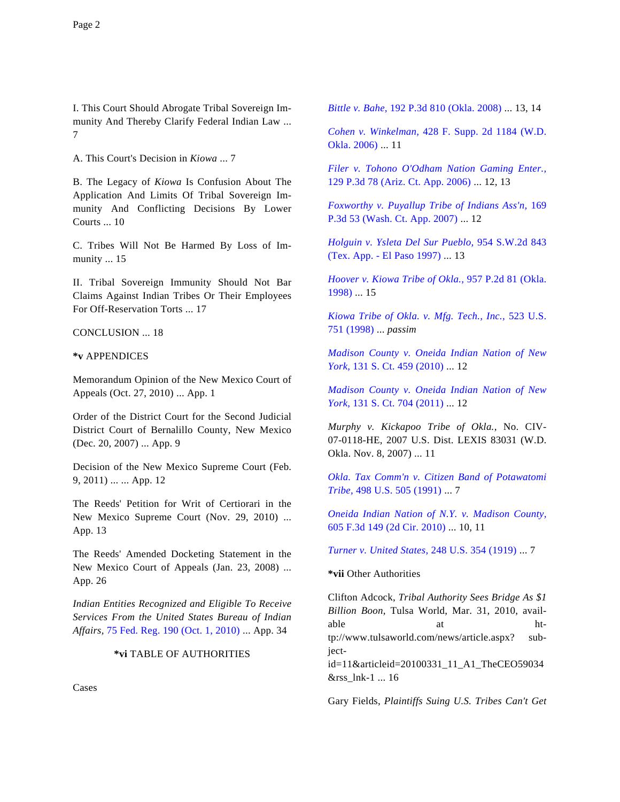I. This Court Should Abrogate Tribal Sovereign Immunity And Thereby Clarify Federal Indian Law ... 7

A. This Court's Decision in *Kiowa* ... 7

B. The Legacy of *Kiowa* Is Confusion About The Application And Limits Of Tribal Sovereign Immunity And Conflicting Decisions By Lower Courts ... 10

C. Tribes Will Not Be Harmed By Loss of Immunity ... 15

II. Tribal Sovereign Immunity Should Not Bar Claims Against Indian Tribes Or Their Employees For Off-Reservation Torts ... 17

CONCLUSION ... 18

**\*v** APPENDICES

Memorandum Opinion of the New Mexico Court of Appeals (Oct. 27, 2010) ... App. 1

Order of the District Court for the Second Judicial District Court of Bernalillo County, New Mexico (Dec. 20, 2007) ... App. 9

Decision of the New Mexico Supreme Court (Feb. 9, 2011) ... ... App. 12

The Reeds' Petition for Writ of Certiorari in the New Mexico Supreme Court (Nov. 29, 2010) ... App. 13

The Reeds' Amended Docketing Statement in the New Mexico Court of Appeals (Jan. 23, 2008) ... App. 26

*Indian Entities Recognized and Eligible To Receive Services From the United States Bureau of Indian Affairs,* [75 Fed. Reg. 190 \(Oct. 1, 2010\)](http://www.westlaw.com/Find/Default.wl?rs=dfa1.0&vr=2.0&DB=0001037&FindType=Y&ReferencePositionType=S&SerialNum=0349190713&ReferencePosition=190) ... App. 34

## **\*vi** TABLE OF AUTHORITIES

Cases

*[Bittle v. Bahe](http://www.westlaw.com/Find/Default.wl?rs=dfa1.0&vr=2.0&DB=4645&FindType=Y&SerialNum=2015135422),* [192 P.3d 810 \(Okla. 2008\)](http://www.westlaw.com/Find/Default.wl?rs=dfa1.0&vr=2.0&DB=4645&FindType=Y&SerialNum=2015135422) ... 13, 14

*[Cohen v. Winkelman](http://www.westlaw.com/Find/Default.wl?rs=dfa1.0&vr=2.0&DB=4637&FindType=Y&SerialNum=2008973286),* [428 F. Supp. 2d 1184 \(W.D](http://www.westlaw.com/Find/Default.wl?rs=dfa1.0&vr=2.0&DB=4637&FindType=Y&SerialNum=2008973286). [Okla. 2006\)](http://www.westlaw.com/Find/Default.wl?rs=dfa1.0&vr=2.0&DB=4637&FindType=Y&SerialNum=2008973286) ... 11

*[Filer v. Tohono O'Odham Nation Gaming Enter.](http://www.westlaw.com/Find/Default.wl?rs=dfa1.0&vr=2.0&DB=4645&FindType=Y&SerialNum=2008556611),* [129 P.3d 78 \(Ariz. Ct. App. 2006\)](http://www.westlaw.com/Find/Default.wl?rs=dfa1.0&vr=2.0&DB=4645&FindType=Y&SerialNum=2008556611) ... 12, 13

*[Foxworthy v. Puyallup Tribe of Indians Ass'n,](http://www.westlaw.com/Find/Default.wl?rs=dfa1.0&vr=2.0&DB=4645&FindType=Y&SerialNum=2013703902)* 169 [P.3d 53 \(Wash. Ct. App. 2007\)](http://www.westlaw.com/Find/Default.wl?rs=dfa1.0&vr=2.0&DB=4645&FindType=Y&SerialNum=2013703902) ... 12

*[Holguin v. Ysleta Del Sur Pueblo](http://www.westlaw.com/Find/Default.wl?rs=dfa1.0&vr=2.0&DB=713&FindType=Y&SerialNum=1997182367),* [954 S.W.2d 843](http://www.westlaw.com/Find/Default.wl?rs=dfa1.0&vr=2.0&DB=713&FindType=Y&SerialNum=1997182367) [\(Tex. App. - El Paso 1997\)](http://www.westlaw.com/Find/Default.wl?rs=dfa1.0&vr=2.0&DB=713&FindType=Y&SerialNum=1997182367) ... 13

*[Hoover v. Kiowa Tribe of Okla.](http://www.westlaw.com/Find/Default.wl?rs=dfa1.0&vr=2.0&DB=661&FindType=Y&SerialNum=1998073500),* [957 P.2d 81 \(Okla.](http://www.westlaw.com/Find/Default.wl?rs=dfa1.0&vr=2.0&DB=661&FindType=Y&SerialNum=1998073500) [1998\)](http://www.westlaw.com/Find/Default.wl?rs=dfa1.0&vr=2.0&DB=661&FindType=Y&SerialNum=1998073500) ... 15

*[Kiowa Tribe of Okla. v. Mfg. Tech., Inc](http://www.westlaw.com/Find/Default.wl?rs=dfa1.0&vr=2.0&DB=780&FindType=Y&SerialNum=1998112940).,* [523 U.S.](http://www.westlaw.com/Find/Default.wl?rs=dfa1.0&vr=2.0&DB=780&FindType=Y&SerialNum=1998112940) [751 \(1998\)](http://www.westlaw.com/Find/Default.wl?rs=dfa1.0&vr=2.0&DB=780&FindType=Y&SerialNum=1998112940) ... *passim*

*[Madison County v. Oneida Indian Nation of N](http://www.westlaw.com/Find/Default.wl?rs=dfa1.0&vr=2.0&DB=708&FindType=Y&SerialNum=2022523944)ew [York,](http://www.westlaw.com/Find/Default.wl?rs=dfa1.0&vr=2.0&DB=708&FindType=Y&SerialNum=2022523944)* [131 S. Ct. 459 \(2010\)](http://www.westlaw.com/Find/Default.wl?rs=dfa1.0&vr=2.0&DB=708&FindType=Y&SerialNum=2022523944) ... 12

*[Madison County v. Oneida Indian Nation of N](http://www.westlaw.com/Find/Default.wl?rs=dfa1.0&vr=2.0&DB=708&FindType=Y&SerialNum=2024328994)ew [York,](http://www.westlaw.com/Find/Default.wl?rs=dfa1.0&vr=2.0&DB=708&FindType=Y&SerialNum=2024328994)* [131 S. Ct. 704 \(2011\)](http://www.westlaw.com/Find/Default.wl?rs=dfa1.0&vr=2.0&DB=708&FindType=Y&SerialNum=2024328994) ... 12

*Murphy v. Kickapoo Tribe of Okla.,* No. CIV-07-0118-HE, 2007 U.S. Dist. LEXIS 83031 (W.D. Okla. Nov. 8, 2007) ... 11

*[Okla. Tax Comm'n v. Citizen Band of Potawatom](http://www.westlaw.com/Find/Default.wl?rs=dfa1.0&vr=2.0&DB=780&FindType=Y&SerialNum=1991042972)i [Tribe,](http://www.westlaw.com/Find/Default.wl?rs=dfa1.0&vr=2.0&DB=780&FindType=Y&SerialNum=1991042972)* [498 U.S. 505 \(1991\)](http://www.westlaw.com/Find/Default.wl?rs=dfa1.0&vr=2.0&DB=780&FindType=Y&SerialNum=1991042972) ... 7

*[Oneida Indian Nation of N.Y. v. Madison County](http://www.westlaw.com/Find/Default.wl?rs=dfa1.0&vr=2.0&DB=506&FindType=Y&SerialNum=2021843678),* [605 F.3d 149 \(2d Cir. 2010\)](http://www.westlaw.com/Find/Default.wl?rs=dfa1.0&vr=2.0&DB=506&FindType=Y&SerialNum=2021843678) ... 10, 11

*[Turner v. United States,](http://www.westlaw.com/Find/Default.wl?rs=dfa1.0&vr=2.0&DB=780&FindType=Y&SerialNum=1919200561)* [248 U.S. 354 \(1919\)](http://www.westlaw.com/Find/Default.wl?rs=dfa1.0&vr=2.0&DB=780&FindType=Y&SerialNum=1919200561) ... 7

## **\*vii** Other Authorities

&rss\_lnk-1 ... 16

Clifton Adcock, *Tribal Authority Sees Bridge As \$1 Billion Boon,* Tulsa World, Mar. 31, 2010, available at http://www.tulsaworld.com/news/article.aspx? subjectid=11&articleid=20100331\_11\_A1\_TheCEO59034

Gary Fields, *Plaintiffs Suing U.S. Tribes Can't Get*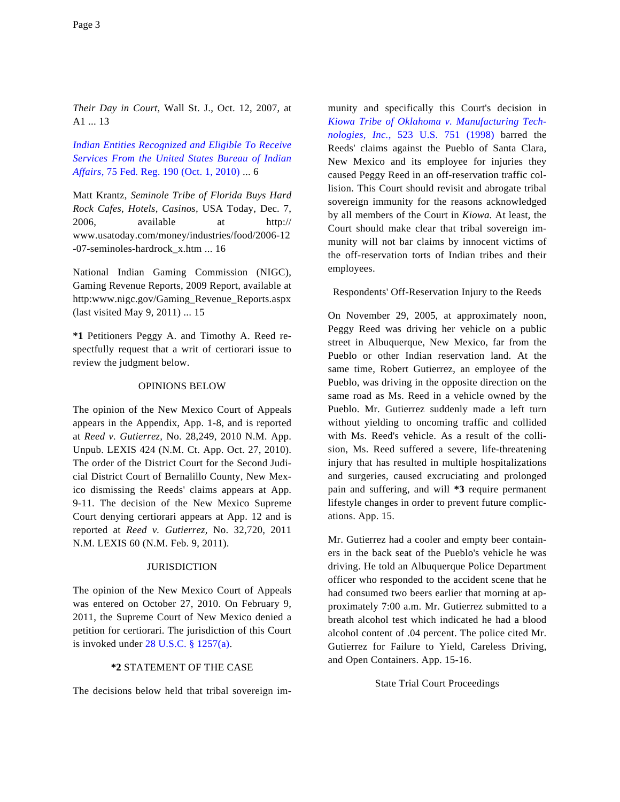*Their Day in Court,* Wall St. J., Oct. 12, 2007, at A1 ... 13

*[Indian Entities Recognized and Eligible To Receive](http://www.westlaw.com/Find/Default.wl?rs=dfa1.0&vr=2.0&DB=1037&FindType=Y&ReferencePositionType=S&SerialNum=0349190713&ReferencePosition=190) [Services From the United States Bureau of India](http://www.westlaw.com/Find/Default.wl?rs=dfa1.0&vr=2.0&DB=1037&FindType=Y&ReferencePositionType=S&SerialNum=0349190713&ReferencePosition=190)n [Affairs,](http://www.westlaw.com/Find/Default.wl?rs=dfa1.0&vr=2.0&DB=1037&FindType=Y&ReferencePositionType=S&SerialNum=0349190713&ReferencePosition=190)* [75 Fed. Reg. 190 \(Oct. 1, 2010\)](http://www.westlaw.com/Find/Default.wl?rs=dfa1.0&vr=2.0&DB=1037&FindType=Y&ReferencePositionType=S&SerialNum=0349190713&ReferencePosition=190) ... 6

Matt Krantz, *Seminole Tribe of Florida Buys Hard Rock Cafes, Hotels, Casinos,* USA Today, Dec. 7, 2006, available at http:// www.usatoday.com/money/industries/food/2006-12 -07-seminoles-hardrock\_x.htm ... 16

National Indian Gaming Commission (NIGC), Gaming Revenue Reports, 2009 Report, available at http:www.nigc.gov/Gaming\_Revenue\_Reports.aspx (last visited May 9, 2011) ... 15

**\*1** Petitioners Peggy A. and Timothy A. Reed respectfully request that a writ of certiorari issue to review the judgment below.

## OPINIONS BELOW

The opinion of the New Mexico Court of Appeals appears in the Appendix, App. 1-8, and is reported at *Reed v. Gutierrez,* No. 28,249, 2010 N.M. App. Unpub. LEXIS 424 (N.M. Ct. App. Oct. 27, 2010). The order of the District Court for the Second Judicial District Court of Bernalillo County, New Mexico dismissing the Reeds' claims appears at App. 9-11. The decision of the New Mexico Supreme Court denying certiorari appears at App. 12 and is reported at *Reed v. Gutierrez,* No. 32,720, 2011 N.M. LEXIS 60 (N.M. Feb. 9, 2011).

# **JURISDICTION**

The opinion of the New Mexico Court of Appeals was entered on October 27, 2010. On February 9, 2011, the Supreme Court of New Mexico denied a petition for certiorari. The jurisdiction of this Court is invoked under  $28$  U.S.C.  $\S$  1257(a).

## **\*2** STATEMENT OF THE CASE

The decisions below held that tribal sovereign im-

munity and specifically this Court's decision in *[Kiowa Tribe of Oklahoma v. Manufacturing Tech](http://www.westlaw.com/Find/Default.wl?rs=dfa1.0&vr=2.0&DB=780&FindType=Y&SerialNum=1998112940)[nologies, Inc](http://www.westlaw.com/Find/Default.wl?rs=dfa1.0&vr=2.0&DB=780&FindType=Y&SerialNum=1998112940).,* [523 U.S. 751 \(19](http://www.westlaw.com/Find/Default.wl?rs=dfa1.0&vr=2.0&DB=780&FindType=Y&SerialNum=1998112940)98) barred the Reeds' claims against the Pueblo of Santa Clara, New Mexico and its employee for injuries they caused Peggy Reed in an off-reservation traffic collision. This Court should revisit and abrogate tribal sovereign immunity for the reasons acknowledged by all members of the Court in *Kiowa.* At least, the Court should make clear that tribal sovereign immunity will not bar claims by innocent victims of the off-reservation torts of Indian tribes and their employees.

#### Respondents' Off-Reservation Injury to the Reeds

On November 29, 2005, at approximately noon, Peggy Reed was driving her vehicle on a public street in Albuquerque, New Mexico, far from the Pueblo or other Indian reservation land. At the same time, Robert Gutierrez, an employee of the Pueblo, was driving in the opposite direction on the same road as Ms. Reed in a vehicle owned by the Pueblo. Mr. Gutierrez suddenly made a left turn without yielding to oncoming traffic and collided with Ms. Reed's vehicle. As a result of the collision, Ms. Reed suffered a severe, life-threatening injury that has resulted in multiple hospitalizations and surgeries, caused excruciating and prolonged pain and suffering, and will **\*3** require permanent lifestyle changes in order to prevent future complications. App. 15.

Mr. Gutierrez had a cooler and empty beer containers in the back seat of the Pueblo's vehicle he was driving. He told an Albuquerque Police Department officer who responded to the accident scene that he had consumed two beers earlier that morning at approximately 7:00 a.m. Mr. Gutierrez submitted to a breath alcohol test which indicated he had a blood alcohol content of .04 percent. The police cited Mr. Gutierrez for Failure to Yield, Careless Driving, and Open Containers. App. 15-16.

## State Trial Court Proceedings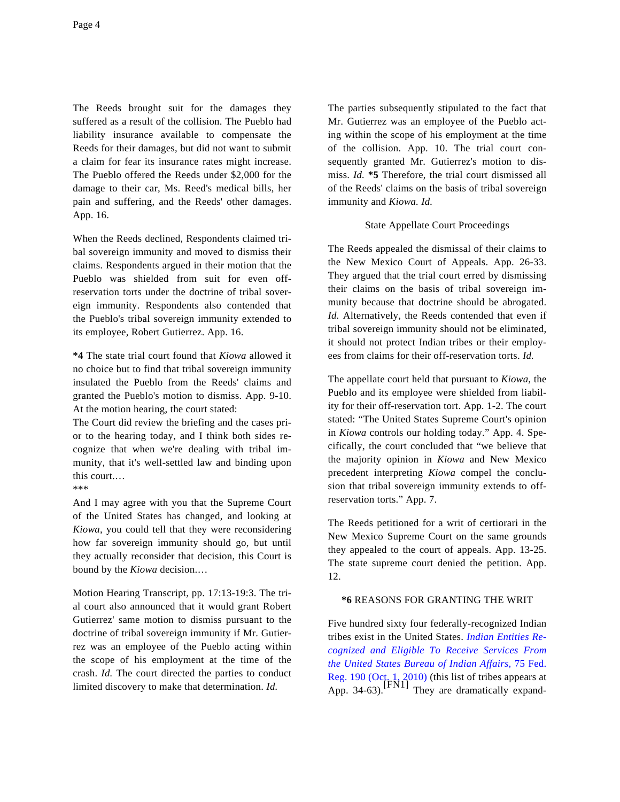The Reeds brought suit for the damages they suffered as a result of the collision. The Pueblo had liability insurance available to compensate the Reeds for their damages, but did not want to submit a claim for fear its insurance rates might increase. The Pueblo offered the Reeds under \$2,000 for the damage to their car, Ms. Reed's medical bills, her pain and suffering, and the Reeds' other damages. App. 16.

When the Reeds declined, Respondents claimed tribal sovereign immunity and moved to dismiss their claims. Respondents argued in their motion that the Pueblo was shielded from suit for even offreservation torts under the doctrine of tribal sovereign immunity. Respondents also contended that the Pueblo's tribal sovereign immunity extended to its employee, Robert Gutierrez. App. 16.

**\*4** The state trial court found that *Kiowa* allowed it no choice but to find that tribal sovereign immunity insulated the Pueblo from the Reeds' claims and granted the Pueblo's motion to dismiss. App. 9-10. At the motion hearing, the court stated:

The Court did review the briefing and the cases prior to the hearing today, and I think both sides recognize that when we're dealing with tribal immunity, that it's well-settled law and binding upon this court.…

\*\*\*

And I may agree with you that the Supreme Court of the United States has changed, and looking at *Kiowa*, you could tell that they were reconsidering how far sovereign immunity should go, but until they actually reconsider that decision, this Court is bound by the *Kiowa* decision.…

Motion Hearing Transcript, pp. 17:13-19:3. The trial court also announced that it would grant Robert Gutierrez' same motion to dismiss pursuant to the doctrine of tribal sovereign immunity if Mr. Gutierrez was an employee of the Pueblo acting within the scope of his employment at the time of the crash. *Id.* The court directed the parties to conduct limited discovery to make that determination. *Id.*

The parties subsequently stipulated to the fact that Mr. Gutierrez was an employee of the Pueblo acting within the scope of his employment at the time of the collision. App. 10. The trial court consequently granted Mr. Gutierrez's motion to dismiss. *Id.* **\*5** Therefore, the trial court dismissed all of the Reeds' claims on the basis of tribal sovereign immunity and *Kiowa. Id.*

# State Appellate Court Proceedings

The Reeds appealed the dismissal of their claims to the New Mexico Court of Appeals. App. 26-33. They argued that the trial court erred by dismissing their claims on the basis of tribal sovereign immunity because that doctrine should be abrogated. *Id.* Alternatively, the Reeds contended that even if tribal sovereign immunity should not be eliminated, it should not protect Indian tribes or their employees from claims for their off-reservation torts. *Id.*

The appellate court held that pursuant to *Kiowa*, the Pueblo and its employee were shielded from liability for their off-reservation tort. App. 1-2. The court stated: "The United States Supreme Court's opinion in *Kiowa* controls our holding today." App. 4. Specifically, the court concluded that "we believe that the majority opinion in *Kiowa* and New Mexico precedent interpreting *Kiowa* compel the conclusion that tribal sovereign immunity extends to offreservation torts." App. 7.

The Reeds petitioned for a writ of certiorari in the New Mexico Supreme Court on the same grounds they appealed to the court of appeals. App. 13-25. The state supreme court denied the petition. App. 12.

### **\*6** REASONS FOR GRANTING THE WRIT

Five hundred sixty four federally-recognized Indian tribes exist in the United States. *[Indian Entities Re](http://www.westlaw.com/Find/Default.wl?rs=dfa1.0&vr=2.0&DB=1037&FindType=Y&ReferencePositionType=S&SerialNum=0349190713&ReferencePosition=190)[cognized and Eligible To Receive Services Fr](http://www.westlaw.com/Find/Default.wl?rs=dfa1.0&vr=2.0&DB=1037&FindType=Y&ReferencePositionType=S&SerialNum=0349190713&ReferencePosition=190)om [the United States Bureau of Indian Affairs,](http://www.westlaw.com/Find/Default.wl?rs=dfa1.0&vr=2.0&DB=1037&FindType=Y&ReferencePositionType=S&SerialNum=0349190713&ReferencePosition=190)* 75 Fed. [Reg. 190 \(Oct. 1, 2010\)](http://www.westlaw.com/Find/Default.wl?rs=dfa1.0&vr=2.0&DB=1037&FindType=Y&ReferencePositionType=S&SerialNum=0349190713&ReferencePosition=190) (this list of tribes appears at App. 34-63). [FN1] They are dramatically expand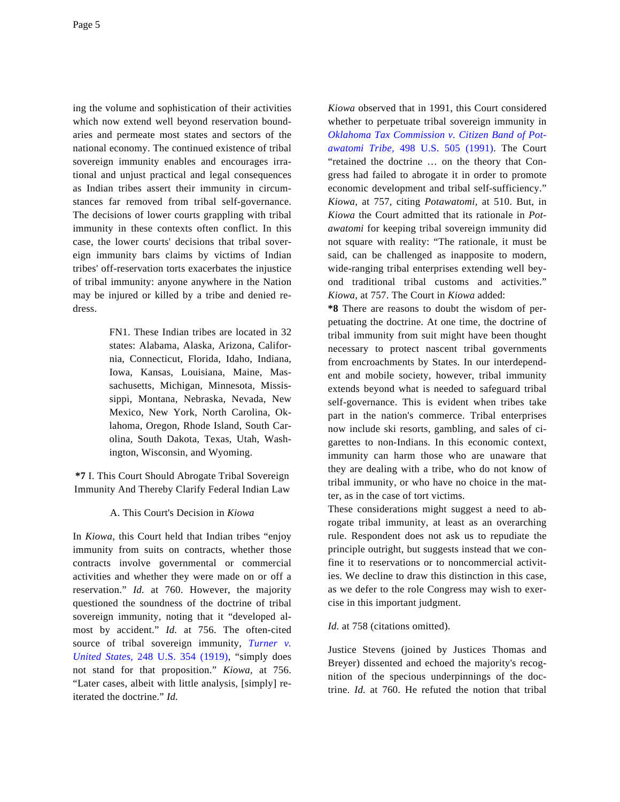ing the volume and sophistication of their activities which now extend well beyond reservation boundaries and permeate most states and sectors of the national economy. The continued existence of tribal sovereign immunity enables and encourages irrational and unjust practical and legal consequences as Indian tribes assert their immunity in circumstances far removed from tribal self-governance. The decisions of lower courts grappling with tribal immunity in these contexts often conflict. In this case, the lower courts' decisions that tribal sovereign immunity bars claims by victims of Indian tribes' off-reservation torts exacerbates the injustice of tribal immunity: anyone anywhere in the Nation may be injured or killed by a tribe and denied redress.

> FN1. These Indian tribes are located in 32 states: Alabama, Alaska, Arizona, California, Connecticut, Florida, Idaho, Indiana, Iowa, Kansas, Louisiana, Maine, Massachusetts, Michigan, Minnesota, Mississippi, Montana, Nebraska, Nevada, New Mexico, New York, North Carolina, Oklahoma, Oregon, Rhode Island, South Carolina, South Dakota, Texas, Utah, Washington, Wisconsin, and Wyoming.

**\*7** I. This Court Should Abrogate Tribal Sovereign Immunity And Thereby Clarify Federal Indian Law

### A. This Court's Decision in *Kiowa*

In *Kiowa*, this Court held that Indian tribes "enjoy immunity from suits on contracts, whether those contracts involve governmental or commercial activities and whether they were made on or off a reservation." *Id.* at 760. However, the majority questioned the soundness of the doctrine of tribal sovereign immunity, noting that it "developed almost by accident." *Id.* at 756. The often-cited source of tribal sovereign immunity, *[Turner v](http://www.westlaw.com/Find/Default.wl?rs=dfa1.0&vr=2.0&DB=780&FindType=Y&SerialNum=1919200561). [United States](http://www.westlaw.com/Find/Default.wl?rs=dfa1.0&vr=2.0&DB=780&FindType=Y&SerialNum=1919200561),* [248 U.S. 354 \(191](http://www.westlaw.com/Find/Default.wl?rs=dfa1.0&vr=2.0&DB=780&FindType=Y&SerialNum=1919200561)9), "simply does not stand for that proposition." *Kiowa,* at 756. "Later cases, albeit with little analysis, [simply] reiterated the doctrine." *Id.*

*Kiowa* observed that in 1991, this Court considered whether to perpetuate tribal sovereign immunity in *[Oklahoma Tax Commission v. Citizen Band of Pot](http://www.westlaw.com/Find/Default.wl?rs=dfa1.0&vr=2.0&DB=780&FindType=Y&SerialNum=1991042972)[awatomi Tribe](http://www.westlaw.com/Find/Default.wl?rs=dfa1.0&vr=2.0&DB=780&FindType=Y&SerialNum=1991042972),* [498 U.S. 505 \(199](http://www.westlaw.com/Find/Default.wl?rs=dfa1.0&vr=2.0&DB=780&FindType=Y&SerialNum=1991042972)1). The Court "retained the doctrine … on the theory that Congress had failed to abrogate it in order to promote economic development and tribal self-sufficiency." *Kiowa*, at 757, citing *Potawatomi,* at 510. But, in *Kiowa* the Court admitted that its rationale in *Potawatomi* for keeping tribal sovereign immunity did not square with reality: "The rationale, it must be said, can be challenged as inapposite to modern, wide-ranging tribal enterprises extending well beyond traditional tribal customs and activities." *Kiowa,* at 757. The Court in *Kiowa* added:

**\*8** There are reasons to doubt the wisdom of perpetuating the doctrine. At one time, the doctrine of tribal immunity from suit might have been thought necessary to protect nascent tribal governments from encroachments by States. In our interdependent and mobile society, however, tribal immunity extends beyond what is needed to safeguard tribal self-governance. This is evident when tribes take part in the nation's commerce. Tribal enterprises now include ski resorts, gambling, and sales of cigarettes to non-Indians. In this economic context, immunity can harm those who are unaware that they are dealing with a tribe, who do not know of tribal immunity, or who have no choice in the matter, as in the case of tort victims.

These considerations might suggest a need to abrogate tribal immunity, at least as an overarching rule. Respondent does not ask us to repudiate the principle outright, but suggests instead that we confine it to reservations or to noncommercial activities. We decline to draw this distinction in this case, as we defer to the role Congress may wish to exercise in this important judgment.

#### *Id.* at 758 (citations omitted).

Justice Stevens (joined by Justices Thomas and Breyer) dissented and echoed the majority's recognition of the specious underpinnings of the doctrine. *Id.* at 760. He refuted the notion that tribal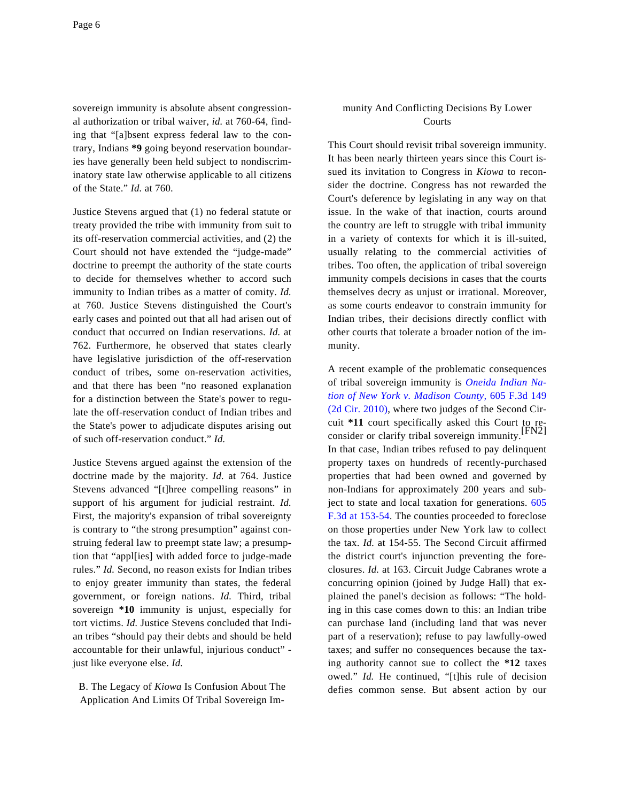sovereign immunity is absolute absent congressional authorization or tribal waiver, *id.* at 760-64, finding that "[a]bsent express federal law to the contrary, Indians **\*9** going beyond reservation boundaries have generally been held subject to nondiscriminatory state law otherwise applicable to all citizens of the State." *Id.* at 760.

Justice Stevens argued that (1) no federal statute or treaty provided the tribe with immunity from suit to its off-reservation commercial activities, and (2) the Court should not have extended the "judge-made" doctrine to preempt the authority of the state courts to decide for themselves whether to accord such immunity to Indian tribes as a matter of comity. *Id.* at 760. Justice Stevens distinguished the Court's early cases and pointed out that all had arisen out of conduct that occurred on Indian reservations. *Id.* at 762. Furthermore, he observed that states clearly have legislative jurisdiction of the off-reservation conduct of tribes, some on-reservation activities, and that there has been "no reasoned explanation for a distinction between the State's power to regulate the off-reservation conduct of Indian tribes and the State's power to adjudicate disputes arising out of such off-reservation conduct." *Id.*

Justice Stevens argued against the extension of the doctrine made by the majority. *Id.* at 764. Justice Stevens advanced "[t]hree compelling reasons" in support of his argument for judicial restraint. *Id.* First, the majority's expansion of tribal sovereignty is contrary to "the strong presumption" against construing federal law to preempt state law; a presumption that "appl[ies] with added force to judge-made rules." *Id.* Second, no reason exists for Indian tribes to enjoy greater immunity than states, the federal government, or foreign nations. *Id.* Third, tribal sovereign **\*10** immunity is unjust, especially for tort victims. *Id.* Justice Stevens concluded that Indian tribes "should pay their debts and should be held accountable for their unlawful, injurious conduct" just like everyone else. *Id.*

B. The Legacy of *Kiowa* Is Confusion About The Application And Limits Of Tribal Sovereign Im-

## munity And Conflicting Decisions By Lower Courts

This Court should revisit tribal sovereign immunity. It has been nearly thirteen years since this Court issued its invitation to Congress in *Kiowa* to reconsider the doctrine. Congress has not rewarded the Court's deference by legislating in any way on that issue. In the wake of that inaction, courts around the country are left to struggle with tribal immunity in a variety of contexts for which it is ill-suited, usually relating to the commercial activities of tribes. Too often, the application of tribal sovereign immunity compels decisions in cases that the courts themselves decry as unjust or irrational. Moreover, as some courts endeavor to constrain immunity for Indian tribes, their decisions directly conflict with other courts that tolerate a broader notion of the immunity.

A recent example of the problematic consequences of tribal sovereign immunity is *[Oneida Indian Na](http://www.westlaw.com/Find/Default.wl?rs=dfa1.0&vr=2.0&DB=506&FindType=Y&SerialNum=2021843678)[tion of New York v. Madison County](http://www.westlaw.com/Find/Default.wl?rs=dfa1.0&vr=2.0&DB=506&FindType=Y&SerialNum=2021843678),* [605 F.3d 149](http://www.westlaw.com/Find/Default.wl?rs=dfa1.0&vr=2.0&DB=506&FindType=Y&SerialNum=2021843678) [\(2d Cir. 2010\)](http://www.westlaw.com/Find/Default.wl?rs=dfa1.0&vr=2.0&DB=506&FindType=Y&SerialNum=2021843678), where two judges of the Second Circuit **\*11** court specifically asked this Court to re-consider or clarify tribal sovereign immunity.[FN2] In that case, Indian tribes refused to pay delinquent property taxes on hundreds of recently-purchased properties that had been owned and governed by non-Indians for approximately 200 years and subject to state and local taxation for generations. [605](http://www.westlaw.com/Find/Default.wl?rs=dfa1.0&vr=2.0&DB=506&FindType=Y&ReferencePositionType=S&SerialNum=2021843678&ReferencePosition=153) [F.3d at 153-54](http://www.westlaw.com/Find/Default.wl?rs=dfa1.0&vr=2.0&DB=506&FindType=Y&ReferencePositionType=S&SerialNum=2021843678&ReferencePosition=153). The counties proceeded to foreclose on those properties under New York law to collect the tax. *Id.* at 154-55. The Second Circuit affirmed the district court's injunction preventing the foreclosures. *Id.* at 163. Circuit Judge Cabranes wrote a concurring opinion (joined by Judge Hall) that explained the panel's decision as follows: "The holding in this case comes down to this: an Indian tribe can purchase land (including land that was never part of a reservation); refuse to pay lawfully-owed taxes; and suffer no consequences because the taxing authority cannot sue to collect the **\*12** taxes owed." *Id.* He continued, "[t]his rule of decision defies common sense. But absent action by our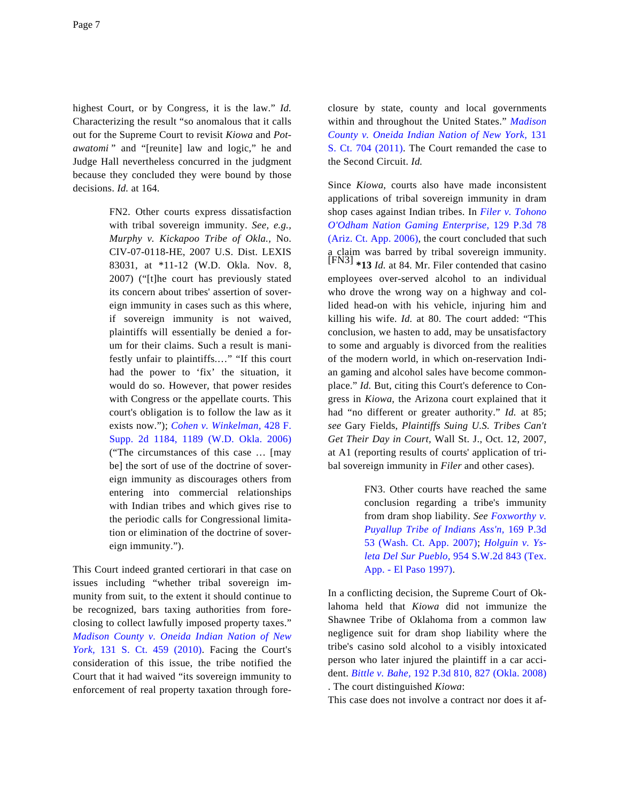highest Court, or by Congress, it is the law." *Id.* Characterizing the result "so anomalous that it calls out for the Supreme Court to revisit *Kiowa* and *Potawatomi* " and "[reunite] law and logic," he and Judge Hall nevertheless concurred in the judgment because they concluded they were bound by those decisions. *Id.* at 164.

> FN2. Other courts express dissatisfaction with tribal sovereign immunity. *See, e.g., Murphy v. Kickapoo Tribe of Okla.,* No. CIV-07-0118-HE, 2007 U.S. Dist. LEXIS 83031, at \*11-12 (W.D. Okla. Nov. 8, 2007) ("[t]he court has previously stated its concern about tribes' assertion of sovereign immunity in cases such as this where, if sovereign immunity is not waived, plaintiffs will essentially be denied a forum for their claims. Such a result is manifestly unfair to plaintiffs.…" "If this court had the power to 'fix' the situation, it would do so. However, that power resides with Congress or the appellate courts. This court's obligation is to follow the law as it exists now."); *[Cohen v. Winkelman,](http://www.westlaw.com/Find/Default.wl?rs=dfa1.0&vr=2.0&DB=4637&FindType=Y&ReferencePositionType=S&SerialNum=2008973286&ReferencePosition=1189)* 428 F. [Supp. 2d 1184, 1189 \(W.D. Okla. 20](http://www.westlaw.com/Find/Default.wl?rs=dfa1.0&vr=2.0&DB=4637&FindType=Y&ReferencePositionType=S&SerialNum=2008973286&ReferencePosition=1189)06) ("The circumstances of this case … [may be] the sort of use of the doctrine of sovereign immunity as discourages others from entering into commercial relationships with Indian tribes and which gives rise to the periodic calls for Congressional limitation or elimination of the doctrine of sovereign immunity.").

This Court indeed granted certiorari in that case on issues including "whether tribal sovereign immunity from suit, to the extent it should continue to be recognized, bars taxing authorities from foreclosing to collect lawfully imposed property taxes." *[Madison County v. Oneida Indian Nation of N](http://www.westlaw.com/Find/Default.wl?rs=dfa1.0&vr=2.0&DB=708&FindType=Y&SerialNum=2022523944)ew [York,](http://www.westlaw.com/Find/Default.wl?rs=dfa1.0&vr=2.0&DB=708&FindType=Y&SerialNum=2022523944)* [131 S. Ct. 459 \(20](http://www.westlaw.com/Find/Default.wl?rs=dfa1.0&vr=2.0&DB=708&FindType=Y&SerialNum=2022523944)10). Facing the Court's consideration of this issue, the tribe notified the Court that it had waived "its sovereign immunity to enforcement of real property taxation through foreclosure by state, county and local governments within and throughout the United States." *[Madison](http://www.westlaw.com/Find/Default.wl?rs=dfa1.0&vr=2.0&DB=708&FindType=Y&SerialNum=2024328994) [County v. Oneida Indian Nation of New York,](http://www.westlaw.com/Find/Default.wl?rs=dfa1.0&vr=2.0&DB=708&FindType=Y&SerialNum=2024328994)* 131 [S. Ct. 704 \(2011](http://www.westlaw.com/Find/Default.wl?rs=dfa1.0&vr=2.0&DB=708&FindType=Y&SerialNum=2024328994)). The Court remanded the case to the Second Circuit. *Id.*

Since *Kiowa*, courts also have made inconsistent applications of tribal sovereign immunity in dram shop cases against Indian tribes. In *[Filer v. Tohono](http://www.westlaw.com/Find/Default.wl?rs=dfa1.0&vr=2.0&DB=4645&FindType=Y&SerialNum=2008556611) [O'Odham Nation Gaming Enterpris](http://www.westlaw.com/Find/Default.wl?rs=dfa1.0&vr=2.0&DB=4645&FindType=Y&SerialNum=2008556611)e,* [129 P.3d 78](http://www.westlaw.com/Find/Default.wl?rs=dfa1.0&vr=2.0&DB=4645&FindType=Y&SerialNum=2008556611) [\(Ariz. Ct. App. 2006\)](http://www.westlaw.com/Find/Default.wl?rs=dfa1.0&vr=2.0&DB=4645&FindType=Y&SerialNum=2008556611), the court concluded that such a claim was barred by tribal sovereign immunity. [FN3] **\*13** *Id.* at 84. Mr. Filer contended that casino employees over-served alcohol to an individual who drove the wrong way on a highway and collided head-on with his vehicle, injuring him and killing his wife. *Id.* at 80. The court added: "This conclusion, we hasten to add, may be unsatisfactory to some and arguably is divorced from the realities of the modern world, in which on-reservation Indian gaming and alcohol sales have become commonplace." *Id.* But, citing this Court's deference to Congress in *Kiowa*, the Arizona court explained that it had "no different or greater authority." *Id.* at 85; *see* Gary Fields, *Plaintiffs Suing U.S. Tribes Can't Get Their Day in Court,* Wall St. J., Oct. 12, 2007, at A1 (reporting results of courts' application of tribal sovereign immunity in *Filer* and other cases).

> FN3. Other courts have reached the same conclusion regarding a tribe's immunity from dram shop liability. *See [Foxworthy v.](http://www.westlaw.com/Find/Default.wl?rs=dfa1.0&vr=2.0&DB=4645&FindType=Y&SerialNum=2013703902) [Puyallup Tribe of Indians Ass'n](http://www.westlaw.com/Find/Default.wl?rs=dfa1.0&vr=2.0&DB=4645&FindType=Y&SerialNum=2013703902),* [169 P.3d](http://www.westlaw.com/Find/Default.wl?rs=dfa1.0&vr=2.0&DB=4645&FindType=Y&SerialNum=2013703902) [53 \(Wash. Ct. App. 2007](http://www.westlaw.com/Find/Default.wl?rs=dfa1.0&vr=2.0&DB=4645&FindType=Y&SerialNum=2013703902)); *[Holguin v. Ys](http://www.westlaw.com/Find/Default.wl?rs=dfa1.0&vr=2.0&DB=713&FindType=Y&SerialNum=1997182367)[leta Del Sur Pueblo](http://www.westlaw.com/Find/Default.wl?rs=dfa1.0&vr=2.0&DB=713&FindType=Y&SerialNum=1997182367),* [954 S.W.2d 843 \(Tex.](http://www.westlaw.com/Find/Default.wl?rs=dfa1.0&vr=2.0&DB=713&FindType=Y&SerialNum=1997182367) [App. - El Paso 1997\)](http://www.westlaw.com/Find/Default.wl?rs=dfa1.0&vr=2.0&DB=713&FindType=Y&SerialNum=1997182367).

In a conflicting decision, the Supreme Court of Oklahoma held that *Kiowa* did not immunize the Shawnee Tribe of Oklahoma from a common law negligence suit for dram shop liability where the tribe's casino sold alcohol to a visibly intoxicated person who later injured the plaintiff in a car accident. *[Bittle v. Bahe](http://www.westlaw.com/Find/Default.wl?rs=dfa1.0&vr=2.0&DB=4645&FindType=Y&ReferencePositionType=S&SerialNum=2015135422&ReferencePosition=827),* [192 P.3d 810, 827 \(Okla. 2008\)](http://www.westlaw.com/Find/Default.wl?rs=dfa1.0&vr=2.0&DB=4645&FindType=Y&ReferencePositionType=S&SerialNum=2015135422&ReferencePosition=827) . The court distinguished *Kiowa*:

This case does not involve a contract nor does it af-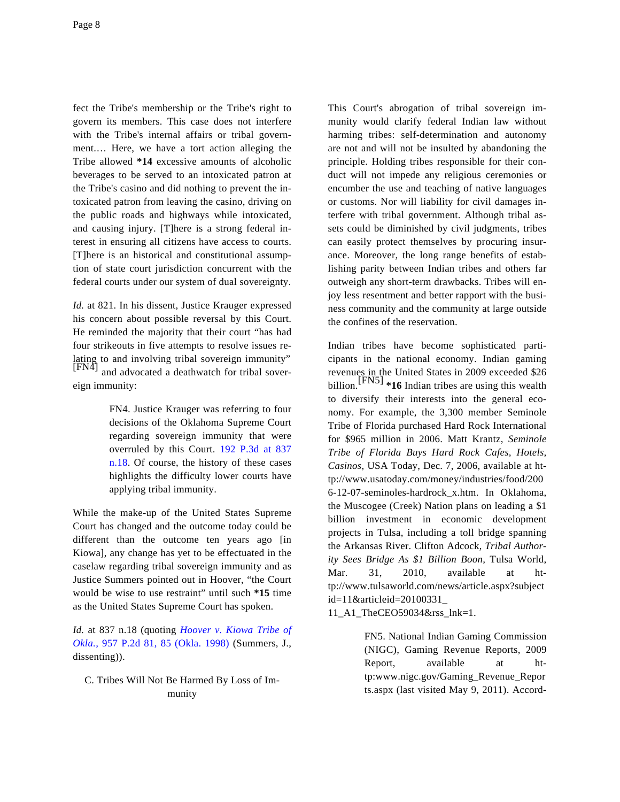fect the Tribe's membership or the Tribe's right to govern its members. This case does not interfere with the Tribe's internal affairs or tribal government.… Here, we have a tort action alleging the Tribe allowed **\*14** excessive amounts of alcoholic beverages to be served to an intoxicated patron at the Tribe's casino and did nothing to prevent the intoxicated patron from leaving the casino, driving on the public roads and highways while intoxicated, and causing injury. [T]here is a strong federal interest in ensuring all citizens have access to courts. [T]here is an historical and constitutional assumption of state court jurisdiction concurrent with the federal courts under our system of dual sovereignty.

*Id.* at 821. In his dissent, Justice Krauger expressed his concern about possible reversal by this Court. He reminded the majority that their court "has had four strikeouts in five attempts to resolve issues relating to and involving tribal sovereign immunity" [FN4] and advocated a deathwatch for tribal sovereign immunity:

> FN4. Justice Krauger was referring to four decisions of the Oklahoma Supreme Court regarding sovereign immunity that were overruled by this Court. [192 P.3d at 83](http://www.westlaw.com/Find/Default.wl?rs=dfa1.0&vr=2.0&DB=4645&FindType=Y&ReferencePositionType=S&SerialNum=2015135422&ReferencePosition=837)7 [n.18](http://www.westlaw.com/Find/Default.wl?rs=dfa1.0&vr=2.0&DB=4645&FindType=Y&ReferencePositionType=S&SerialNum=2015135422&ReferencePosition=837). Of course, the history of these cases highlights the difficulty lower courts have applying tribal immunity.

While the make-up of the United States Supreme Court has changed and the outcome today could be different than the outcome ten years ago [in Kiowa], any change has yet to be effectuated in the caselaw regarding tribal sovereign immunity and as Justice Summers pointed out in Hoover, "the Court would be wise to use restraint" until such **\*15** time as the United States Supreme Court has spoken.

*Id.* at 837 n.18 (quoting *[Hoover v. Kiowa Tribe o](http://www.westlaw.com/Find/Default.wl?rs=dfa1.0&vr=2.0&DB=661&FindType=Y&ReferencePositionType=S&SerialNum=1998073500&ReferencePosition=85)f [Okla.,](http://www.westlaw.com/Find/Default.wl?rs=dfa1.0&vr=2.0&DB=661&FindType=Y&ReferencePositionType=S&SerialNum=1998073500&ReferencePosition=85)* [957 P.2d 81, 85 \(Okla. 1998](http://www.westlaw.com/Find/Default.wl?rs=dfa1.0&vr=2.0&DB=661&FindType=Y&ReferencePositionType=S&SerialNum=1998073500&ReferencePosition=85)) (Summers, J., dissenting)).

# C. Tribes Will Not Be Harmed By Loss of Immunity

This Court's abrogation of tribal sovereign immunity would clarify federal Indian law without harming tribes: self-determination and autonomy are not and will not be insulted by abandoning the principle. Holding tribes responsible for their conduct will not impede any religious ceremonies or encumber the use and teaching of native languages or customs. Nor will liability for civil damages interfere with tribal government. Although tribal assets could be diminished by civil judgments, tribes can easily protect themselves by procuring insurance. Moreover, the long range benefits of establishing parity between Indian tribes and others far outweigh any short-term drawbacks. Tribes will enjoy less resentment and better rapport with the business community and the community at large outside the confines of the reservation.

Indian tribes have become sophisticated participants in the national economy. Indian gaming revenues in the United States in 2009 exceeded \$26 billion.[FN5] **\*16** Indian tribes are using this wealth to diversify their interests into the general economy. For example, the 3,300 member Seminole Tribe of Florida purchased Hard Rock International for \$965 million in 2006. Matt Krantz, *Seminole Tribe of Florida Buys Hard Rock Cafes, Hotels, Casinos,* USA Today, Dec. 7, 2006, available at http://www.usatoday.com/money/industries/food/200 6-12-07-seminoles-hardrock\_x.htm. In Oklahoma, the Muscogee (Creek) Nation plans on leading a \$1 billion investment in economic development projects in Tulsa, including a toll bridge spanning the Arkansas River. Clifton Adcock, *Tribal Authority Sees Bridge As \$1 Billion Boon,* Tulsa World, Mar. 31, 2010, available at http://www.tulsaworld.com/news/article.aspx?subject id=11&articleid=20100331\_

11\_A1\_TheCEO59034&rss\_lnk=1.

FN5. National Indian Gaming Commission (NIGC), Gaming Revenue Reports, 2009 Report, available at http:www.nigc.gov/Gaming\_Revenue\_Repor ts.aspx (last visited May 9, 2011). Accord-